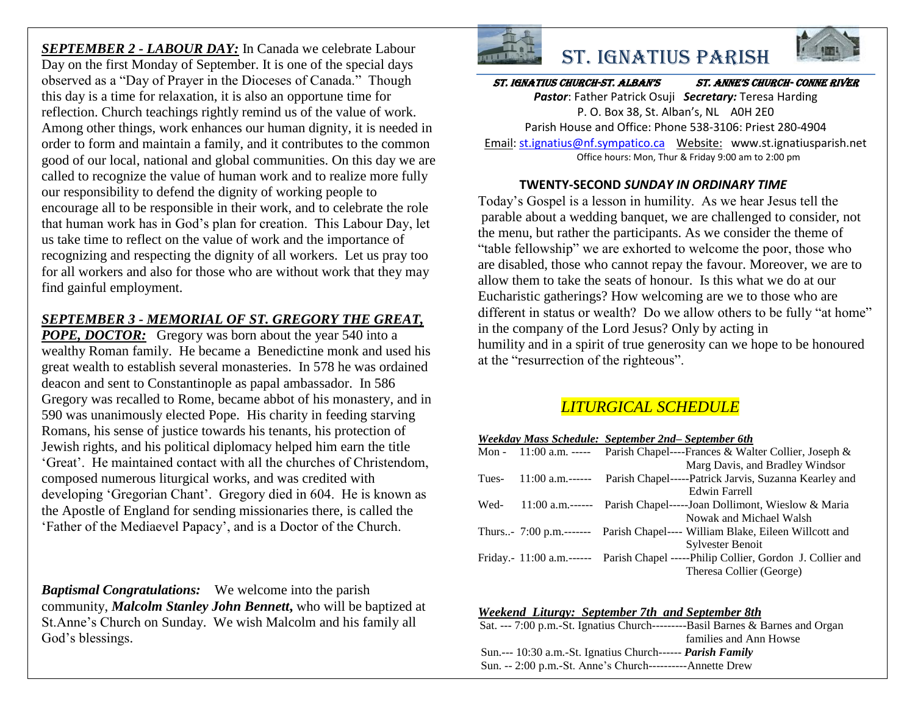*SEPTEMBER 2 - LABOUR DAY:* In Canada we celebrate Labour Day on the first Monday of September. It is one of the special days observed as a "Day of Prayer in the Dioceses of Canada." Though this day is a time for relaxation, it is also an opportune time for reflection. Church teachings rightly remind us of the value of work. Among other things, work enhances our human dignity, it is needed in order to form and maintain a family, and it contributes to the common good of our local, national and global communities. On this day we are called to recognize the value of human work and to realize more fully our responsibility to defend the dignity of working people to encourage all to be responsible in their work, and to celebrate the role that human work has in God's plan for creation. This Labour Day, let us take time to reflect on the value of work and the importance of recognizing and respecting the dignity of all workers. Let us pray too for all workers and also for those who are without work that they may find gainful employment.

## *SEPTEMBER 3 - MEMORIAL OF ST. GREGORY THE GREAT,*

*POPE, DOCTOR:* Gregory was born about the year 540 into a wealthy Roman family. He became a Benedictine monk and used his great wealth to establish several monasteries. In 578 he was ordained deacon and sent to Constantinople as papal ambassador. In 586 Gregory was recalled to Rome, became abbot of his monastery, and in 590 was unanimously elected Pope. His charity in feeding starving Romans, his sense of justice towards his tenants, his protection of Jewish rights, and his political diplomacy helped him earn the title 'Great'. He maintained contact with all the churches of Christendom, composed numerous liturgical works, and was credited with developing 'Gregorian Chant'. Gregory died in 604. He is known as the Apostle of England for sending missionaries there, is called the 'Father of the Mediaevel Papacy', and is a Doctor of the Church.

*Baptismal Congratulations:* We welcome into the parish community, *Malcolm Stanley John Bennett***,** who will be baptized at St.Anne's Church on Sunday. We wish Malcolm and his family all God's blessings.





St. Ignatius Church-St. AlbAn'S St. Anne'S ChurCh- Conne River

St. Ignatius Parish

*Pastor*: Father Patrick Osuji *Secretary:* Teresa Harding P. O. Box 38, St. Alban's, NL A0H 2E0 Parish House and Office: Phone 538-3106: Priest 280-4904 Email[: st.ignatius@nf.sympatico.ca](mailto:st.ignatius@nf.sympatico.ca) Website: www.st.ignatiusparish.net Office hours: Mon, Thur & Friday 9:00 am to 2:00 pm

#### **TWENTY-SECOND** *SUNDAY IN ORDINARY TIME*

Today's Gospel is a lesson in humility. As we hear Jesus tell the parable about a wedding banquet, we are challenged to consider, not the menu, but rather the participants. As we consider the theme of "table fellowship" we are exhorted to welcome the poor, those who are disabled, those who cannot repay the favour. Moreover, we are to allow them to take the seats of honour. Is this what we do at our Eucharistic gatherings? How welcoming are we to those who are different in status or wealth? Do we allow others to be fully "at home" in the company of the Lord Jesus? Only by acting in humility and in a spirit of true generosity can we hope to be honoured at the "resurrection of the righteous".

## *LITURGICAL SCHEDULE*

| Weekday Mass Schedule: September 2nd– September 6th |  |  |  |
|-----------------------------------------------------|--|--|--|
|                                                     |  |  |  |

|       | Mon - 11:00 a.m. ----- Parish Chapel----Frances & Walter Collier, Joseph &        |
|-------|-----------------------------------------------------------------------------------|
|       | Marg Davis, and Bradley Windsor                                                   |
| Tues- | 11:00 a.m.------ Parish Chapel-----Patrick Jarvis, Suzanna Kearley and            |
|       | Edwin Farrell                                                                     |
| Wed-  | 11:00 a.m.------ Parish Chapel-----Joan Dollimont, Wieslow & Maria                |
|       | Nowak and Michael Walsh                                                           |
|       | Thurs- 7:00 p.m.------- Parish Chapel---- William Blake, Eileen Willcott and      |
|       | <b>Sylvester Benoit</b>                                                           |
|       | Friday. 11:00 a.m.------ Parish Chapel -----Philip Collier, Gordon J. Collier and |
|       | Theresa Collier (George)                                                          |

| Weekend Liturgy: September 7th and September 8th                               |
|--------------------------------------------------------------------------------|
| Sat. --- 7:00 p.m.-St. Ignatius Church---------Basil Barnes & Barnes and Organ |
| families and Ann Howse                                                         |
| Sun.--- 10:30 a.m.-St. Ignatius Church------ <i>Parish Family</i>              |
| Sun. -- 2:00 p.m.-St. Anne's Church----------Annette Drew                      |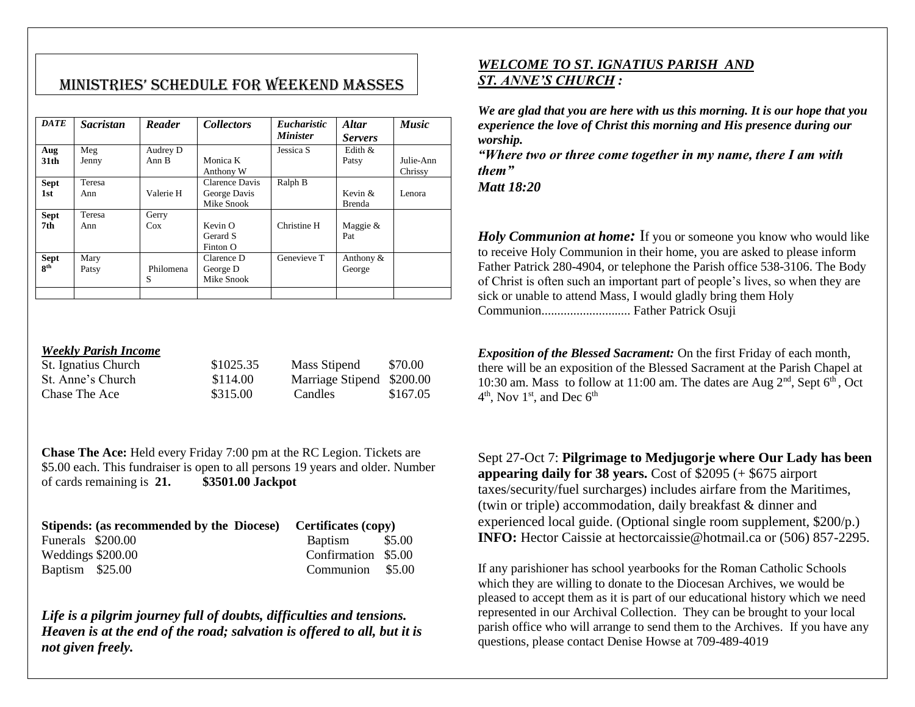# MiniStrieS' SChedule for Weekend MASSeS

| <b>DATE</b>               | <b>Sacristan</b> | Reader                       | <b>Collectors</b>                            | <i>Eucharistic</i><br><b>Minister</b> | <b>Altar</b><br><b>Servers</b> | <b>Music</b>         |
|---------------------------|------------------|------------------------------|----------------------------------------------|---------------------------------------|--------------------------------|----------------------|
| Aug<br>31 <sub>th</sub>   | Meg<br>Jenny     | Audrey D<br>Ann <sub>B</sub> | Monica K<br>Anthony W                        | Jessica S                             | Edith $\&$<br>Patsy            | Julie-Ann<br>Chrissy |
| <b>Sept</b><br>1st        | Teresa<br>Ann    | Valerie H                    | Clarence Davis<br>George Davis<br>Mike Snook | Ralph B                               | Kevin $&$<br><b>Brenda</b>     | Lenora               |
| <b>Sept</b><br>7th        | Teresa<br>Ann    | Gerry<br>Cox                 | Kevin O<br>Gerard S<br>Finton O              | Christine H                           | Maggie $&$<br>Pat              |                      |
| <b>Sept</b><br><b>gth</b> | Mary<br>Patsy    | Philomena<br>S               | Clarence D<br>George D<br>Mike Snook         | Genevieve T                           | Anthony $&$<br>George          |                      |

#### *Weekly Parish Income*

| St. Ignatius Church | \$1025.35 | Mass Stipend              | \$70.00  |
|---------------------|-----------|---------------------------|----------|
| St. Anne's Church   | \$114.00  | Marriage Stipend \$200.00 |          |
| Chase The Ace       | \$315.00  | Candles                   | \$167.05 |

**Chase The Ace:** Held every Friday 7:00 pm at the RC Legion. Tickets are \$5.00 each. This fundraiser is open to all persons 19 years and older. Number of cards remaining is **21. \$3501.00 Jackpot**

|                   | Stipends: (as recommended by the Diocese) Certificates (copy) |                     |  |  |
|-------------------|---------------------------------------------------------------|---------------------|--|--|
| Funerals \$200.00 |                                                               | Baptism \$5.00      |  |  |
| Weddings \$200.00 |                                                               | Confirmation \$5.00 |  |  |
| Baptism \$25.00   |                                                               | Communion \$5.00    |  |  |

*Life is a pilgrim journey full of doubts, difficulties and tensions. Heaven is at the end of the road; salvation is offered to all, but it is not given freely.*

### *WELCOME TO ST. IGNATIUS PARISH AND ST. ANNE'S CHURCH :*

*We are glad that you are here with us this morning. It is our hope that you experience the love of Christ this morning and His presence during our worship.*

*"Where two or three come together in my name, there I am with them"*

*Matt 18:20*

*Holy Communion at home*: If you or someone you know who would like to receive Holy Communion in their home, you are asked to please inform Father Patrick 280-4904, or telephone the Parish office 538-3106. The Body of Christ is often such an important part of people's lives, so when they are sick or unable to attend Mass, I would gladly bring them Holy Communion............................ Father Patrick Osuji

*Exposition of the Blessed Sacrament:* On the first Friday of each month, there will be an exposition of the Blessed Sacrament at the Parish Chapel at 10:30 am. Mass to follow at 11:00 am. The dates are Aug  $2<sup>nd</sup>$ , Sept  $6<sup>th</sup>$ , Oct  $4<sup>th</sup>$ , Nov  $1<sup>st</sup>$ , and Dec  $6<sup>th</sup>$ 

Sept 27-Oct 7: **Pilgrimage to Medjugorje where Our Lady has been appearing daily for 38 years.** Cost of \$2095 (+ \$675 airport taxes/security/fuel surcharges) includes airfare from the Maritimes, (twin or triple) accommodation, daily breakfast & dinner and experienced local guide. (Optional single room supplement, \$200/p.) **INFO:** Hector Caissie at hectorcaissie@hotmail.ca or (506) 857-2295.

If any parishioner has school yearbooks for the Roman Catholic Schools which they are willing to donate to the Diocesan Archives, we would be pleased to accept them as it is part of our educational history which we need represented in our Archival Collection. They can be brought to your local parish office who will arrange to send them to the Archives. If you have any questions, please contact Denise Howse at 709-489-4019